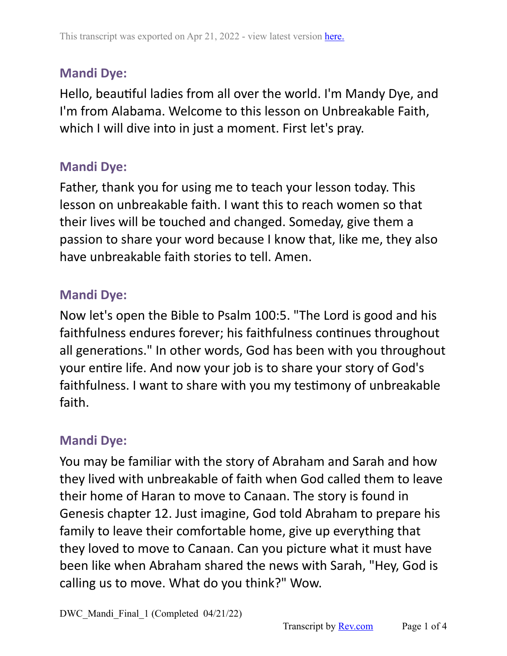Hello, beautiful ladies from all over the world. I'm Mandy Dye, and I'm from Alabama. Welcome to this lesson on Unbreakable Faith, which I will dive into in just a moment. First let's pray.

#### **Mandi Dye:**

Father, thank you for using me to teach your lesson today. This lesson on unbreakable faith. I want this to reach women so that their lives will be touched and changed. Someday, give them a passion to share your word because I know that, like me, they also have unbreakable faith stories to tell. Amen.

#### **Mandi Dye:**

Now let's open the Bible to Psalm 100:5. "The Lord is good and his faithfulness endures forever; his faithfulness continues throughout all generations." In other words, God has been with you throughout your entire life. And now your job is to share your story of God's faithfulness. I want to share with you my testimony of unbreakable faith.

### **Mandi Dye:**

You may be familiar with the story of Abraham and Sarah and how they lived with unbreakable of faith when God called them to leave their home of Haran to move to Canaan. The story is found in Genesis chapter 12. Just imagine, God told Abraham to prepare his family to leave their comfortable home, give up everything that they loved to move to Canaan. Can you picture what it must have been like when Abraham shared the news with Sarah, "Hey, God is calling us to move. What do you think?" Wow.

DWC Mandi Final 1 (Completed 04/21/22)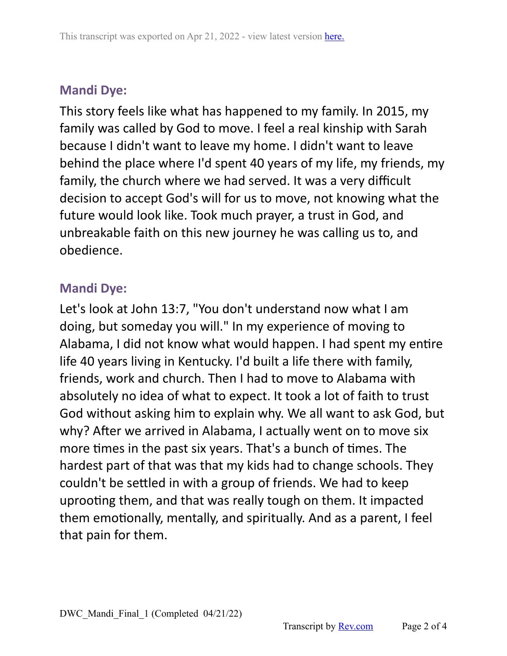This story feels like what has happened to my family. In 2015, my family was called by God to move. I feel a real kinship with Sarah because I didn't want to leave my home. I didn't want to leave behind the place where I'd spent 40 years of my life, my friends, my family, the church where we had served. It was a very difficult decision to accept God's will for us to move, not knowing what the future would look like. Took much prayer, a trust in God, and unbreakable faith on this new journey he was calling us to, and obedience.

## **Mandi Dye:**

Let's look at John 13:7, "You don't understand now what I am doing, but someday you will." In my experience of moving to Alabama, I did not know what would happen. I had spent my entire life 40 years living in Kentucky. I'd built a life there with family, friends, work and church. Then I had to move to Alabama with absolutely no idea of what to expect. It took a lot of faith to trust God without asking him to explain why. We all want to ask God, but why? After we arrived in Alabama, I actually went on to move six more times in the past six years. That's a bunch of times. The hardest part of that was that my kids had to change schools. They couldn't be settled in with a group of friends. We had to keep uprooting them, and that was really tough on them. It impacted them emotionally, mentally, and spiritually. And as a parent, I feel that pain for them.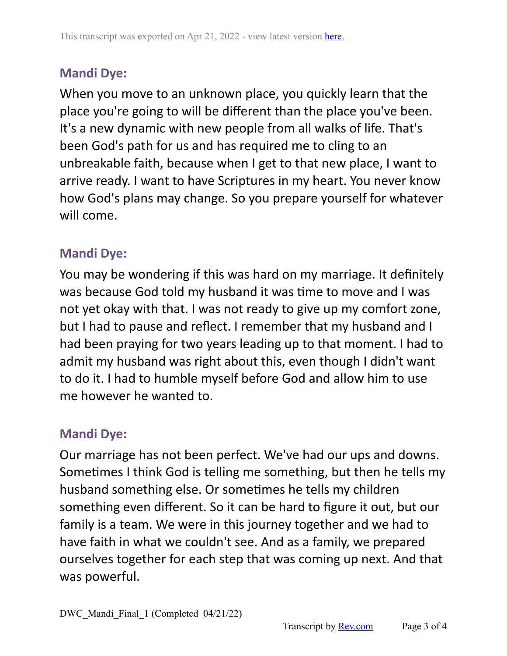When you move to an unknown place, you quickly learn that the place you're going to will be different than the place you've been. It's a new dynamic with new people from all walks of life. That's been God's path for us and has required me to cling to an unbreakable faith, because when I get to that new place, I want to arrive ready. I want to have Scriptures in my heart. You never know how God's plans may change. So you prepare yourself for whatever will come.

### **Mandi Dye:**

You may be wondering if this was hard on my marriage. It definitely was because God told my husband it was time to move and I was not yet okay with that. I was not ready to give up my comfort zone, but I had to pause and reflect. I remember that my husband and I had been praying for two years leading up to that moment. I had to admit my husband was right about this, even though I didn't want to do it. I had to humble myself before God and allow him to use me however he wanted to.

# **Mandi Dye:**

Our marriage has not been perfect. We've had our ups and downs. Sometimes I think God is telling me something, but then he tells my husband something else. Or sometimes he tells my children something even different. So it can be hard to figure it out, but our family is a team. We were in this journey together and we had to have faith in what we couldn't see. And as a family, we prepared ourselves together for each step that was coming up next. And that was powerful.

DWC Mandi Final 1 (Completed 04/21/22)